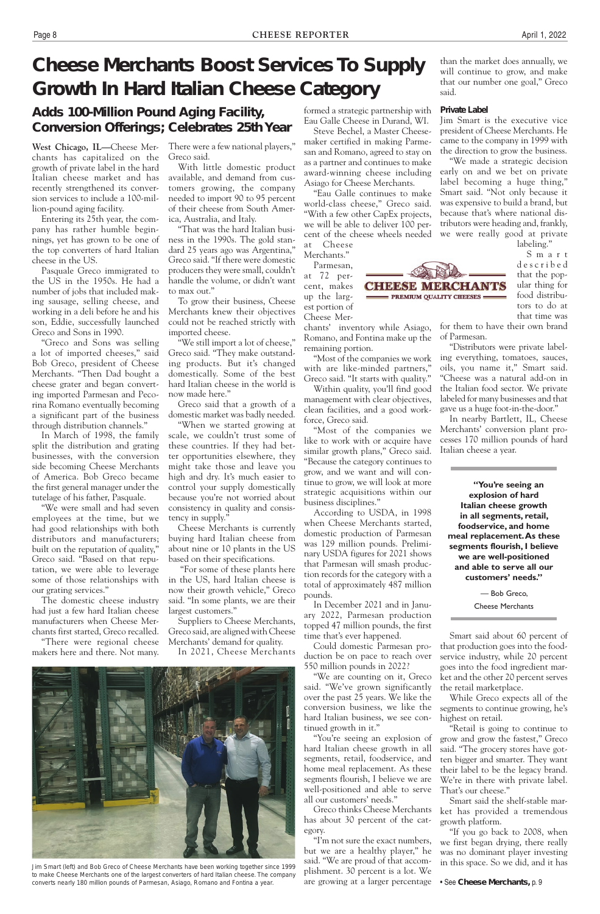# **Cheese Merchants Boost Services To Supply Growth In Hard Italian Cheese Category**

**West Chicago, IL—**Cheese Merchants has capitalized on the growth of private label in the hard Italian cheese market and has recently strengthened its conversion services to include a 100-million-pound aging facility.

Entering its 25th year, the company has rather humble beginnings, yet has grown to be one of the top converters of hard Italian cheese in the US.

Pasquale Greco immigrated to the US in the 1950s. He had a number of jobs that included making sausage, selling cheese, and working in a deli before he and his son, Eddie, successfully launched Greco and Sons in 1990.

"Greco and Sons was selling a lot of imported cheeses," said Bob Greco, president of Cheese Merchants. "Then Dad bought a cheese grater and began converting imported Parmesan and Pecorina Romano eventually becoming a significant part of the business through distribution channels."

In March of 1998, the family split the distribution and grating businesses, with the conversion side becoming Cheese Merchants of America. Bob Greco became the first general manager under the tutelage of his father, Pasquale.

"We were small and had seven employees at the time, but we had good relationships with both distributors and manufacturers; built on the reputation of quality," Greco said. "Based on that reputation, we were able to leverage some of those relationships with our grating services."

The domestic cheese industry had just a few hard Italian cheese manufacturers when Cheese Merchants first started, Greco recalled.

"There were regional cheese makers here and there. Not many. There were a few national players," Greco said.

With little domestic product available, and demand from customers growing, the company needed to import 90 to 95 percent of their cheese from South America, Australia, and Italy.

"That was the hard Italian business in the 1990s. The gold standard 25 years ago was Argentina," Greco said. "If there were domestic producers they were small, couldn't handle the volume, or didn't want to max out."

To grow their business, Cheese Merchants knew their objectives could not be reached strictly with imported cheese.

"We still import a lot of cheese," Greco said. "They make outstanding products. But it's changed domestically. Some of the best hard Italian cheese in the world is now made here."

Greco said that a growth of a domestic market was badly needed.

"When we started growing at scale, we couldn't trust some of these countries. If they had better opportunities elsewhere, they might take those and leave you high and dry. It's much easier to control your supply domestically because you're not worried about consistency in quality and consistency in supply."

Cheese Merchants is currently buying hard Italian cheese from about nine or 10 plants in the US based on their specifications.

 "For some of these plants here in the US, hard Italian cheese is now their growth vehicle," Greco said. "In some plants, we are their largest customers."

Suppliers to Cheese Merchants, Greco said, are aligned with Cheese Merchants' demand for quality.

In 2021, Cheese Merchants



formed a strategic partnership with Eau Galle Cheese in Durand, WI.

Steve Bechel, a Master Cheesemaker certified in making Parmesan and Romano, agreed to stay on as a partner and continues to make award-winning cheese including Asiago for Cheese Merchants.

"Eau Galle continues to make world-class cheese," Greco said. "With a few other CapEx projects, we will be able to deliver 100 percent of the cheese wheels needed at Cheese

Merchants." Parmesan,

at 72 percent, makes up the largest portion of

Cheese Mer-

chants' inventory while Asiago, Romano, and Fontina make up the

**CHEESE MERCHANTS** - PREMIUM QUALITY CHEESES

remaining portion. "Most of the companies we work with are like-minded partners," Greco said. "It starts with quality."

Within quality, you'll find good management with clear objectives, clean facilities, and a good workforce, Greco said.

"Most of the companies we like to work with or acquire have similar growth plans," Greco said. "Because the category continues to grow, and we want and will continue to grow, we will look at more strategic acquisitions within our business disciplines."

According to USDA, in 1998 when Cheese Merchants started, domestic production of Parmesan was 129 million pounds. Preliminary USDA figures for 2021 shows that Parmesan will smash production records for the category with a total of approximately 487 million pounds.

In December 2021 and in January 2022, Parmesan production topped 47 million pounds, the first time that's ever happened.

Could domestic Parmesan production be on pace to reach over 550 million pounds in 2022?

"We are counting on it, Greco said. "We've grown significantly over the past 25 years. We like the conversion business, we like the hard Italian business, we see continued growth in it."

"You're seeing an explosion of hard Italian cheese growth in all segments, retail, foodservice, and home meal replacement. As these segments flourish, I believe we are well-positioned and able to serve all our customers' needs."

Greco thinks Cheese Merchants has about 30 percent of the category.

"I'm not sure the exact numbers, but we are a healthy player," he said. "We are proud of that accomplishment. 30 percent is a lot. We are growing at a larger percentage than the market does annually, we will continue to grow, and make that our number one goal," Greco said.

### **Private Label**

Jim Smart is the executive vice president of Cheese Merchants. He came to the company in 1999 with the direction to grow the business.

"We made a strategic decision early on and we bet on private label becoming a huge thing," Smart said. "Not only because it was expensive to build a brand, but because that's where national distributors were heading and, frankly, we were really good at private

labeling."

S m a r t d e s c r i b e d that the popular thing for food distributors to do at that time was

for them to have their own brand of Parmesan.

"Distributors were private labeling everything, tomatoes, sauces, oils, you name it," Smart said. "Cheese was a natural add-on in the Italian food sector. We private labeled for many businesses and that gave us a huge foot-in-the-door."

In nearby Bartlett, IL, Cheese Merchants' conversion plant processes 170 million pounds of hard Italian cheese a year.

**"You're seeing an explosion of hard Italian cheese growth in all segments, retail, foodservice, and home meal replacement. As these segments flourish, I believe we are well-positioned and able to serve all our customers' needs."**

> — Bob Greco, Cheese Merchants

Smart said about 60 percent of that production goes into the foodservice industry, while 20 percent goes into the food ingredient market and the other 20 percent serves the retail marketplace.

While Greco expects all of the segments to continue growing, he's

highest on retail.

"Retail is going to continue to grow and grow the fastest," Greco said. "The grocery stores have gotten bigger and smarter. They want their label to be the legacy brand. We're in there with private label. That's our cheese."

Smart said the shelf-stable market has provided a tremendous growth platform.

"If you go back to 2008, when we first began drying, there really was no dominant player investing in this space. So we did, and it has

• See **Cheese Merchants,** p. 9

# **Adds 100-Million Pound Aging Facility, Conversion Offerings; Celebrates 25th Year**

Jim Smart (left) and Bob Greco of Cheese Merchants have been working together since 1999 to make Cheese Merchants one of the largest converters of hard Italian cheese. The company converts nearly 180 million pounds of Parmesan, Asiago, Romano and Fontina a year.